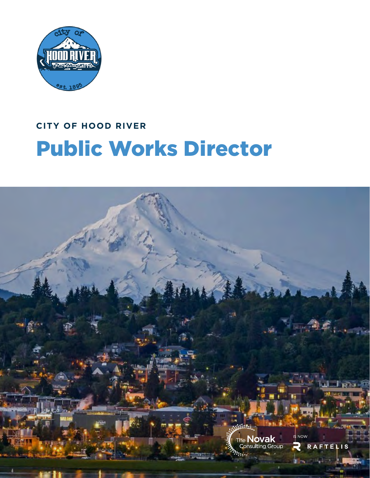

# **CITY OF HOOD RIVER** Public Works Director

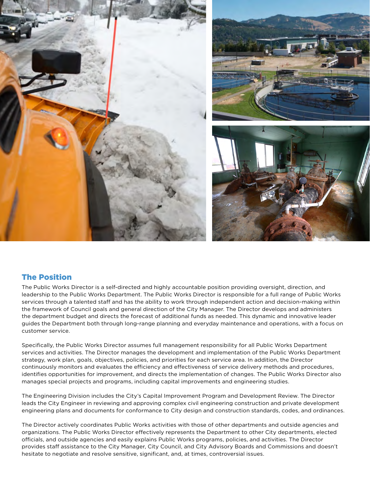

### The Position

The Public Works Director is a self-directed and highly accountable position providing oversight, direction, and leadership to the Public Works Department. The Public Works Director is responsible for a full range of Public Works services through a talented staff and has the ability to work through independent action and decision-making within the framework of Council goals and general direction of the City Manager. The Director develops and administers the department budget and directs the forecast of additional funds as needed. This dynamic and innovative leader guides the Department both through long-range planning and everyday maintenance and operations, with a focus on customer service.

Specifically, the Public Works Director assumes full management responsibility for all Public Works Department services and activities. The Director manages the development and implementation of the Public Works Department strategy, work plan, goals, objectives, policies, and priorities for each service area. In addition, the Director continuously monitors and evaluates the efficiency and effectiveness of service delivery methods and procedures, identifies opportunities for improvement, and directs the implementation of changes. The Public Works Director also manages special projects and programs, including capital improvements and engineering studies.

The Engineering Division includes the City's Capital Improvement Program and Development Review. The Director leads the City Engineer in reviewing and approving complex civil engineering construction and private development engineering plans and documents for conformance to City design and construction standards, codes, and ordinances.

The Director actively coordinates Public Works activities with those of other departments and outside agencies and organizations. The Public Works Director effectively represents the Department to other City departments, elected officials, and outside agencies and easily explains Public Works programs, policies, and activities. The Director provides staff assistance to the City Manager, City Council, and City Advisory Boards and Commissions and doesn't hesitate to negotiate and resolve sensitive, significant, and, at times, controversial issues.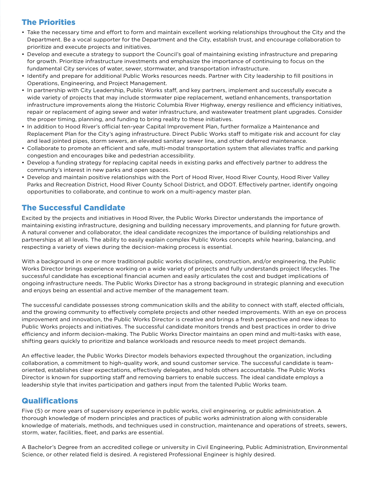# The Priorities

- Take the necessary time and effort to form and maintain excellent working relationships throughout the City and the Department. Be a vocal supporter for the Department and the City, establish trust, and encourage collaboration to prioritize and execute projects and initiatives.
- Develop and execute a strategy to support the Council's goal of maintaining existing infrastructure and preparing for growth. Prioritize infrastructure investments and emphasize the importance of continuing to focus on the fundamental City services of water, sewer, stormwater, and transportation infrastructure.
- Identify and prepare for additional Public Works resources needs. Partner with City leadership to fill positions in Operations, Engineering, and Project Management.
- In partnership with City Leadership, Public Works staff, and key partners, implement and successfully execute a wide variety of projects that may include stormwater pipe replacement, wetland enhancements, transportation infrastructure improvements along the Historic Columbia River Highway, energy resilience and efficiency initiatives, repair or replacement of aging sewer and water infrastructure, and wastewater treatment plant upgrades. Consider the proper timing, planning, and funding to bring reality to these initiatives.
- In addition to Hood River's official ten-year Capital Improvement Plan, further formalize a Maintenance and Replacement Plan for the City's aging infrastructure. Direct Public Works staff to mitigate risk and account for clay and lead jointed pipes, storm sewers, an elevated sanitary sewer line, and other deferred maintenance.
- Collaborate to promote an efficient and safe, multi-modal transportation system that alleviates traffic and parking congestion and encourages bike and pedestrian accessibility.
- Develop a funding strategy for replacing capital needs in existing parks and effectively partner to address the community's interest in new parks and open spaces.
- Develop and maintain positive relationships with the Port of Hood River, Hood River County, Hood River Valley Parks and Recreation District, Hood River County School District, and ODOT. Effectively partner, identify ongoing opportunities to collaborate, and continue to work on a multi-agency master plan.

# The Successful Candidate

Excited by the projects and initiatives in Hood River, the Public Works Director understands the importance of maintaining existing infrastructure, designing and building necessary improvements, and planning for future growth. A natural convener and collaborator, the ideal candidate recognizes the importance of building relationships and partnerships at all levels. The ability to easily explain complex Public Works concepts while hearing, balancing, and respecting a variety of views during the decision-making process is essential.

With a background in one or more traditional public works disciplines, construction, and/or engineering, the Public Works Director brings experience working on a wide variety of projects and fully understands project lifecycles. The successful candidate has exceptional financial acumen and easily articulates the cost and budget implications of ongoing infrastructure needs. The Public Works Director has a strong background in strategic planning and execution and enjoys being an essential and active member of the management team.

The successful candidate possesses strong communication skills and the ability to connect with staff, elected officials, and the growing community to effectively complete projects and other needed improvements. With an eye on process improvement and innovation, the Public Works Director is creative and brings a fresh perspective and new ideas to Public Works projects and initiatives. The successful candidate monitors trends and best practices in order to drive efficiency and inform decision-making. The Public Works Director maintains an open mind and multi-tasks with ease, shifting gears quickly to prioritize and balance workloads and resource needs to meet project demands.

An effective leader, the Public Works Director models behaviors expected throughout the organization, including collaboration, a commitment to high-quality work, and sound customer service. The successful candidate is teamoriented, establishes clear expectations, effectively delegates, and holds others accountable. The Public Works Director is known for supporting staff and removing barriers to enable success. The ideal candidate employs a leadership style that invites participation and gathers input from the talented Public Works team.

# **Qualifications**

Five (5) or more years of supervisory experience in public works, civil engineering, or public administration. A thorough knowledge of modern principles and practices of public works administration along with considerable knowledge of materials, methods, and techniques used in construction, maintenance and operations of streets, sewers, storm, water, facilities, fleet, and parks are essential.

A Bachelor's Degree from an accredited college or university in Civil Engineering, Public Administration, Environmental Science, or other related field is desired. A registered Professional Engineer is highly desired.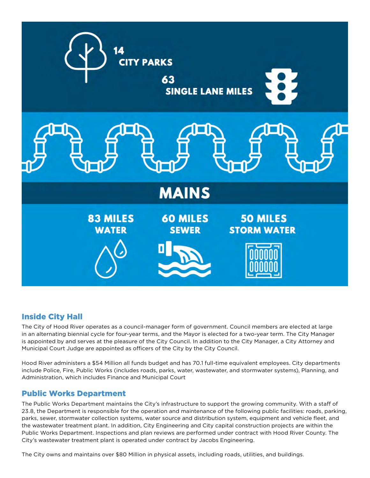

# Inside City Hall

The City of Hood River operates as a council-manager form of government. Council members are elected at large in an alternating biennial cycle for four-year terms, and the Mayor is elected for a two-year term. The City Manager is appointed by and serves at the pleasure of the City Council. In addition to the City Manager, a City Attorney and Municipal Court Judge are appointed as officers of the City by the City Council.

Hood River administers a \$54 Million all funds budget and has 70.1 full-time equivalent employees. City departments include Police, Fire, Public Works (includes roads, parks, water, wastewater, and stormwater systems), Planning, and Administration, which includes Finance and Municipal Court

### Public Works Department

The Public Works Department maintains the City's infrastructure to support the growing community. With a staff of 23.8, the Department is responsible for the operation and maintenance of the following public facilities: roads, parking, parks, sewer, stormwater collection systems, water source and distribution system, equipment and vehicle fleet, and the wastewater treatment plant. In addition, City Engineering and City capital construction projects are within the Public Works Department. Inspections and plan reviews are performed under contract with Hood River County. The City's wastewater treatment plant is operated under contract by Jacobs Engineering.

The City owns and maintains over \$80 Million in physical assets, including roads, utilities, and buildings.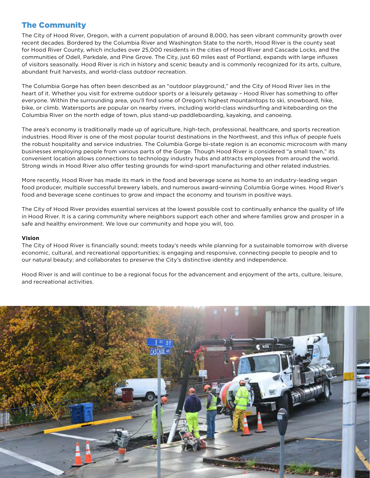# The Community

The City of Hood River, Oregon, with a current population of around 8,000, has seen vibrant community growth over recent decades. Bordered by the Columbia River and Washington State to the north, Hood River is the county seat for Hood River County, which includes over 25,000 residents in the cities of Hood River and Cascade Locks, and the communities of Odell, Parkdale, and Pine Grove. The City, just 60 miles east of Portland, expands with large influxes of visitors seasonally. Hood River is rich in history and scenic beauty and is commonly recognized for its arts, culture, abundant fruit harvests, and world-class outdoor recreation.

The Columbia Gorge has often been described as an "outdoor playground," and the City of Hood River lies in the heart of it. Whether you visit for extreme outdoor sports or a leisurely getaway – Hood River has something to offer everyone. Within the surrounding area, you'll find some of Oregon's highest mountaintops to ski, snowboard, hike, bike, or climb. Watersports are popular on nearby rivers, including world-class windsurfing and kiteboarding on the Columbia River on the north edge of town, plus stand-up paddleboarding, kayaking, and canoeing.

The area's economy is traditionally made up of agriculture, high-tech, professional, healthcare, and sports recreation industries. Hood River is one of the most popular tourist destinations in the Northwest, and this influx of people fuels the robust hospitality and service industries. The Columbia Gorge bi-state region is an economic microcosm with many businesses employing people from various parts of the Gorge. Though Hood River is considered "a small town," its convenient location allows connections to technology industry hubs and attracts employees from around the world. Strong winds in Hood River also offer testing grounds for wind-sport manufacturing and other related industries.

More recently, Hood River has made its mark in the food and beverage scene as home to an industry-leading vegan food producer, multiple successful brewery labels, and numerous award-winning Columbia Gorge wines. Hood River's food and beverage scene continues to grow and impact the economy and tourism in positive ways.

The City of Hood River provides essential services at the lowest possible cost to continually enhance the quality of life in Hood River. It is a caring community where neighbors support each other and where families grow and prosper in a safe and healthy environment. We love our community and hope you will, too.

#### **Vision**

The City of Hood River is financially sound; meets today's needs while planning for a sustainable tomorrow with diverse economic, cultural, and recreational opportunities; is engaging and responsive, connecting people to people and to our natural beauty; and collaborates to preserve the City's distinctive identity and independence.

Hood River is and will continue to be a regional focus for the advancement and enjoyment of the arts, culture, leisure, and recreational activities.